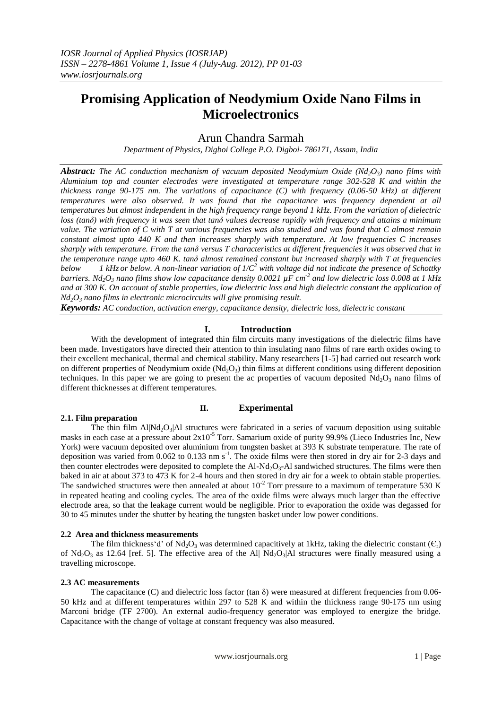# **Promising Application of Neodymium Oxide Nano Films in Microelectronics**

# Arun Chandra Sarmah

*Department of Physics, Digboi College P.O. Digboi- 786171, Assam, India*

*Abstract: The AC conduction mechanism of vacuum deposited Neodymium Oxide (Nd2O3) nano films with Aluminium top and counter electrodes were investigated at temperature range 302-528 K and within the thickness range 90-175 nm. The variations of capacitance (C) with frequency (0.06-50 kHz) at different temperatures were also observed. It was found that the capacitance was frequency dependent at all temperatures but almost independent in the high frequency range beyond 1 kHz. From the variation of dielectric loss (tanδ) with frequency it was seen that tanδ values decrease rapidly with frequency and attains a minimum value. The variation of C with T at various frequencies was also studied and was found that C almost remain constant almost upto 440 K and then increases sharply with temperature. At low frequencies C increases sharply with temperature. From the tanδ versus T characteristics at different frequencies it was observed that in the temperature range upto 460 K. tanδ almost remained constant but increased sharply with T at frequencies below 1 kHz or below. A non-linear variation of 1/C <sup>2</sup> with voltage did not indicate the presence of Schottky barriers. Nd2O<sup>3</sup> nano films show low capacitance density 0.0021 µF cm-2 and low dielectric loss 0.008 at 1 kHz and at 300 K. On account of stable properties, low dielectric loss and high dielectric constant the application of Nd2O<sup>3</sup> nano films in electronic microcircuits will give promising result.*

*Keywords: AC conduction, activation energy, capacitance density, dielectric loss, dielectric constant* 

## **I. Introduction**

With the development of integrated thin film circuits many investigations of the dielectric films have been made. Investigators have directed their attention to thin insulating nano films of rare earth oxides owing to their excellent mechanical, thermal and chemical stability. Many researchers [1-5] had carried out research work on different properties of Neodymium oxide  $(Nd<sub>2</sub>O<sub>3</sub>)$  thin films at different conditions using different deposition techniques. In this paper we are going to present the ac properties of vacuum deposited  $Nd_2O_3$  nano films of different thicknesses at different temperatures.

**II. Experimental**

## **2.1. Film preparation**

### The thin film  $Al\vert Nd_2O_3\vert Al$  structures were fabricated in a series of vacuum deposition using suitable masks in each case at a pressure about  $2x10^{-5}$  Torr. Samarium oxide of purity 99.9% (Lieco Industries Inc, New York) were vacuum deposited over aluminium from tungsten basket at 393 K substrate temperature. The rate of deposition was varied from 0.062 to 0.133 nm  $s<sup>-1</sup>$ . The oxide films were then stored in dry air for 2-3 days and then counter electrodes were deposited to complete the  $Al-Nd_2O_3-Al$  sandwiched structures. The films were then baked in air at about 373 to 473 K for 2-4 hours and then stored in dry air for a week to obtain stable properties. The sandwiched structures were then annealed at about  $10^{-2}$  Torr pressure to a maximum of temperature 530 K in repeated heating and cooling cycles. The area of the oxide films were always much larger than the effective electrode area, so that the leakage current would be negligible. Prior to evaporation the oxide was degassed for 30 to 45 minutes under the shutter by heating the tungsten basket under low power conditions.

#### **2.2 Area and thickness measurements**

The film thickness'd' of Nd<sub>2</sub>O<sub>3</sub> was determined capacitively at 1kHz, taking the dielectric constant ( $C_r$ ) of  $Nd_2O_3$  as 12.64 [ref. 5]. The effective area of the Al|  $Nd_2O_3$ |Al structures were finally measured using a travelling microscope.

#### **2.3 AC measurements**

The capacitance (C) and dielectric loss factor (tan  $\delta$ ) were measured at different frequencies from 0.06-50 kHz and at different temperatures within 297 to 528 K and within the thickness range 90-175 nm using Marconi bridge (TF 2700). An external audio-frequency generator was employed to energize the bridge. Capacitance with the change of voltage at constant frequency was also measured.

www.iosrjournals.org 1 | Page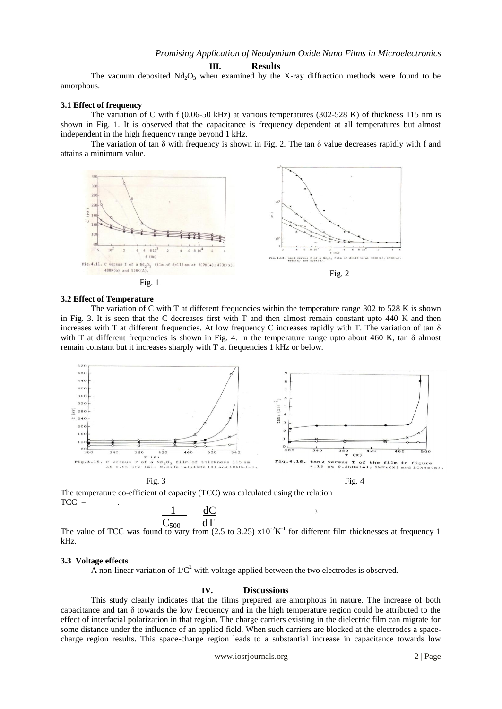#### **III. Results**

The vacuum deposited  $Nd_2O_3$  when examined by the X-ray diffraction methods were found to be amorphous.

#### **3.1 Effect of frequency**

The variation of C with f (0.06-50 kHz) at various temperatures (302-528 K) of thickness 115 nm is shown in Fig. 1. It is observed that the capacitance is frequency dependent at all temperatures but almost independent in the high frequency range beyond 1 kHz.

The variation of tan  $\delta$  with frequency is shown in Fig. 2. The tan  $\delta$  value decreases rapidly with f and attains a minimum value.



#### **3.2 Effect of Temperature**

The variation of C with T at different frequencies within the temperature range 302 to 528 K is shown in Fig. 3. It is seen that the C decreases first with T and then almost remain constant upto 440 K and then increases with T at different frequencies. At low frequency C increases rapidly with T. The variation of tan  $\delta$ with T at different frequencies is shown in Fig. 4. In the temperature range upto about 460 K, tan  $\delta$  almost remain constant but it increases sharply with T at frequencies 1 kHz or below.



The temperature co-efficient of capacity (TCC) was calculated using the relation  $TCC =$  $dC$ 3

The value of TCC was found to vary from (2.5 to 3.25)  $x10^{-2}K^{-1}$  for different film thicknesses at frequency 1 kHz.  $C_{500}$  dT

#### **3.3 Voltage effects**

A non-linear variation of  $1/C^2$  with voltage applied between the two electrodes is observed.

#### **IV. Discussions**

This study clearly indicates that the films prepared are amorphous in nature. The increase of both capacitance and tan  $\delta$  towards the low frequency and in the high temperature region could be attributed to the effect of interfacial polarization in that region. The charge carriers existing in the dielectric film can migrate for some distance under the influence of an applied field. When such carriers are blocked at the electrodes a spacecharge region results. This space-charge region leads to a substantial increase in capacitance towards low